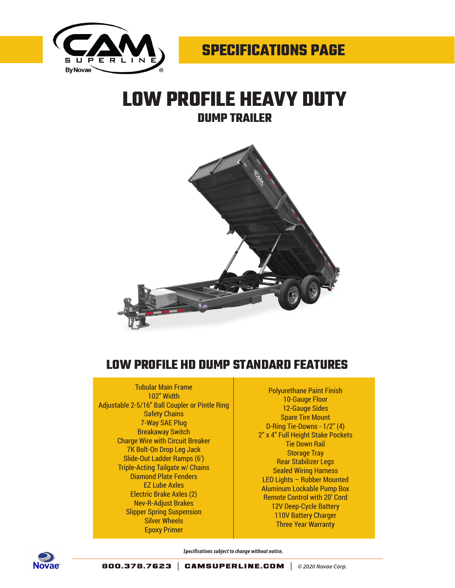

## **LOW PROFILE HEAVY DUTY DUMP TRAILER**



## **LOW PROFILE HD DUMP STANDARD FEATURES**

## Tubular Main Frame 102" Width Adjustable 2-5/16" Ball Coupler or Pintle Ring Safety Chains 7-Way SAE Plug Breakaway Switch Charge Wire with Circuit Breaker 7K Bolt-On Drop Leg Jack Slide-Out Ladder Ramps (6') Triple-Acting Tailgate w/ Chains Diamond Plate Fenders EZ Lube Axles Electric Brake Axles (2) Nev-R-Adjust Brakes Slipper Spring Suspension Silver Wheels Epoxy Primer

Polyurethane Paint Finish 10-Gauge Floor 12-Gauge Sides Spare Tire Mount D-Ring Tie-Downs - 1/2" (4) 2" x 4" Full Height Stake Pockets Tie Down Rail Storage Tray Rear Stabilizer Legs Sealed Wiring Harness LED Lights – Rubber Mounted Aluminum Lockable Pump Box Remote Control with 20' Cord 12V Deep-Cycle Battery 110V Battery Charger Three Year Warranty



*Specifications subject to change without notice.*